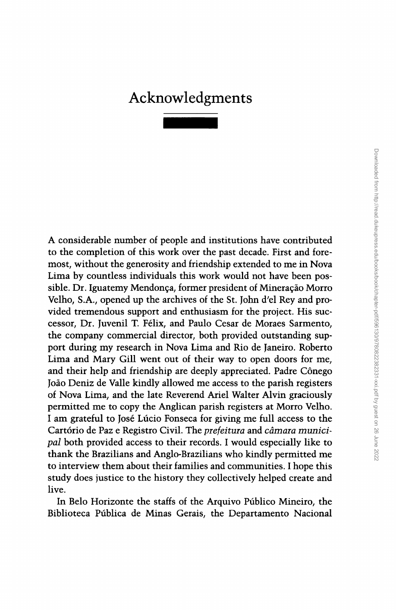## Acknowledgment

A considerable number of people and institutions have contributed to the completion of this work over the past decade. First and foremost, without the generosity and friendship extended to me in Nova Lima by countless individuals this work would not have been possible. Dr. Iguatemy Mendonça, former president of Mineração Morro Velho, S.A., opened up the archives of the St. John d'el Rey and provided tremendous support and enthusiasm for the project. His successor, Dr. Juvenil T. Felix, and Paulo Cesar de Moraes Sarmento, the company commercial director, both provided outstanding support during my research in Nova Lima and Rio de Janeiro. Roberto Lima and Mary Gill went out of their way to open doors for me, and their help and friendship are deeply appreciated. Padre Cônego Ioao Deniz de Valle kindly allowed me access to the parish registers of Nova Lima, and the late Reverend Ariel Walter Alvin graciously permitted me to copy the Anglican parish registers at Morro Velho. I am grateful to Jose Lucio Fonseca for giving me full access to the Cartório de Paz e Registro Civil. The *prefeitura* and *câmara munici*pal both provided access to their records. I would especially like to thank the Brazilians and Anglo-Brazilians who kindly permitted me to interview them about their families and communities. I hope this study does justice to the history they collectively helped create and live.

In Bela Horizonte the staffs of the Arquivo Publico Mineiro, the Biblioteca Publica de Minas Gerais, the Departamento Nacional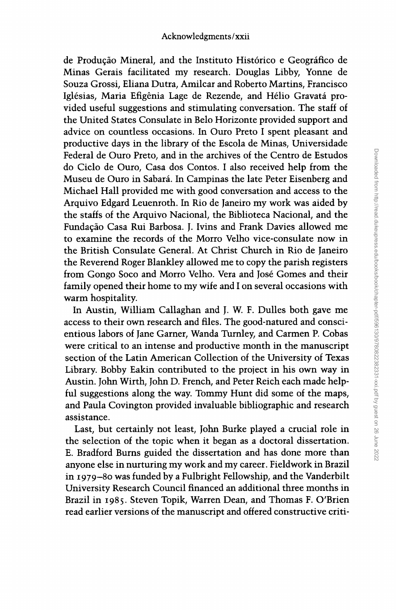de Producao Mineral, and the Instituto Hist6rico e Ceografico de Minas Gerais facilitated my research. Douglas Libby, Yonne de Souza Grossi, Eliana Dutra, Amilcar and Roberto Martins, Francisco Iglésias, Maria Efigênia Lage de Rezende, and Hélio Gravatá provided useful suggestions and stimulating conversation. The staff of the United States Consulate in Belo Horizonte provided support and advice on countless occasions. In Ouro Preto I spent pleasant and productive days in the library of the Escola de Minas, Universidade Federal de Ouro Preto, and in the archives of the Centro de Estudos do Ciclo de Ouro, Casa dos Contos. I also received help from the Museu de Ouro in Sabara. In Campinas the late Peter Eisenberg and Michael Hall provided me with good conversation and access to the Arquivo Edgard Leuenroth. In Rio de Janeiro my work was aided by the staffs of the Arquivo Nacional, the Biblioteca Nacional, and the Fundacão Casa Rui Barbosa. J. Ivins and Frank Davies allowed me to examine the records of the Morro Velho vice-consulate now in the British Consulate General. At Christ Church in Rio de Janeiro the Reverend Roger Blankley allowed me to copy the parish registers from Gongo Soco and Morro Velho. Vera and Jose Gomes and their family opened their home to my wife and I on several occasions with warm hospitality.

In Austin, William Callaghan and J. W. F. Dulles both gave me access to their own research and files. The good-natured and conscientious labors of Jane Garner, Wanda Turnley, and Carmen P. Cobas were critical to an intense and productive month in the manuscript section of the Latin American Collection of the University of Texas Library. Bobby Eakin contributed to the project in his own way in Austin. John Wirth, John D. French, and Peter Reich each made helpful suggestions along the way. Tommy Hunt did some of the maps, and Paula Covington provided invaluable bibliographic and research assistance.

Last, but certainly not least, John Burke played a crucial role in the selection of the topic when it began as a doctoral dissertation. E. Bradford Burns guided the dissertation and has done more than anyone else in nurturing my work and my career. Fieldwork in Brazil in 1979-80 was funded by a Fulbright Fellowship, and the Vanderbilt University Research Council financed an additional three months in Brazil in 1985. Steven Topik, Warren Dean, and Thomas F. O'Brien read earlier versions of the manuscript and offered constructive criti